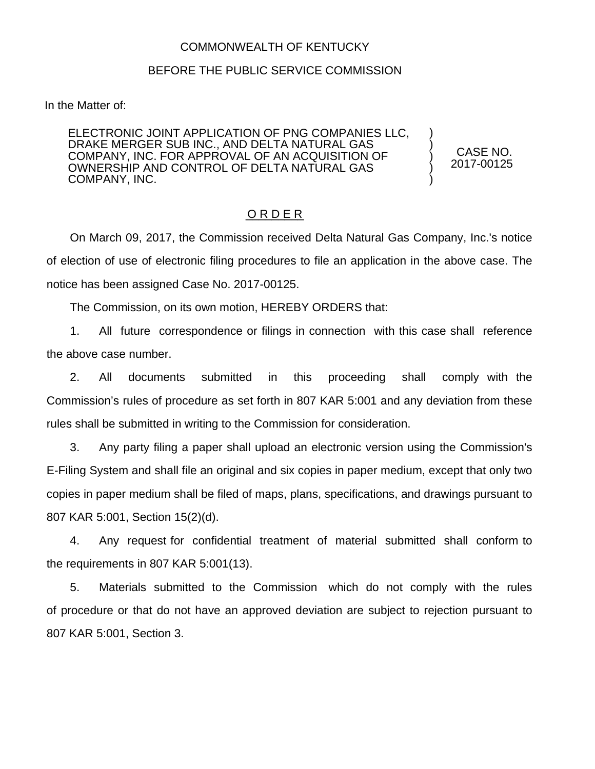## COMMONWEALTH OF KENTUCKY

## BEFORE THE PUBLIC SERVICE COMMISSION

In the Matter of:

ELECTRONIC JOINT APPLICATION OF PNG COMPANIES LLC, DRAKE MERGER SUB INC., AND DELTA NATURAL GAS COMPANY, INC. FOR APPROVAL OF AN ACQUISITION OF OWNERSHIP AND CONTROL OF DELTA NATURAL GAS COMPANY, INC.

CASE NO. 2017-00125

) ) ) ) )

## O R D E R

On March 09, 2017, the Commission received Delta Natural Gas Company, Inc.'s notice of election of use of electronic filing procedures to file an application in the above case. The notice has been assigned Case No. 2017-00125.

The Commission, on its own motion, HEREBY ORDERS that:

1. All future correspondence or filings in connection with this case shall reference the above case number.

2. All documents submitted in this proceeding shall comply with the Commission's rules of procedure as set forth in 807 KAR 5:001 and any deviation from these rules shall be submitted in writing to the Commission for consideration.

3. Any party filing a paper shall upload an electronic version using the Commission's E-Filing System and shall file an original and six copies in paper medium, except that only two copies in paper medium shall be filed of maps, plans, specifications, and drawings pursuant to 807 KAR 5:001, Section 15(2)(d).

4. Any request for confidential treatment of material submitted shall conform to the requirements in 807 KAR 5:001(13).

5. Materials submitted to the Commission which do not comply with the rules of procedure or that do not have an approved deviation are subject to rejection pursuant to 807 KAR 5:001, Section 3.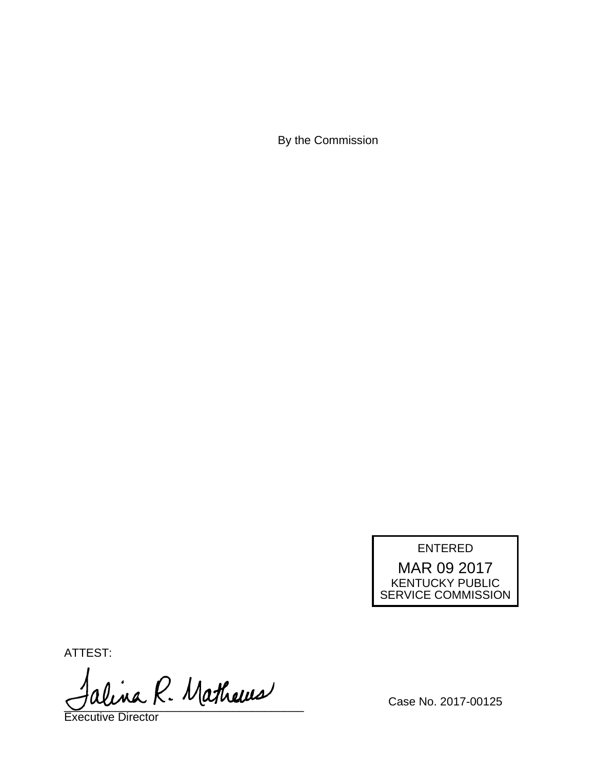By the Commission

ENTERED

MAR 09 2017 KENTUCKY PUBLIC SERVICE COMMISSION

ATTEST:

alina R. Mathews

Executive Director

Case No. 2017-00125